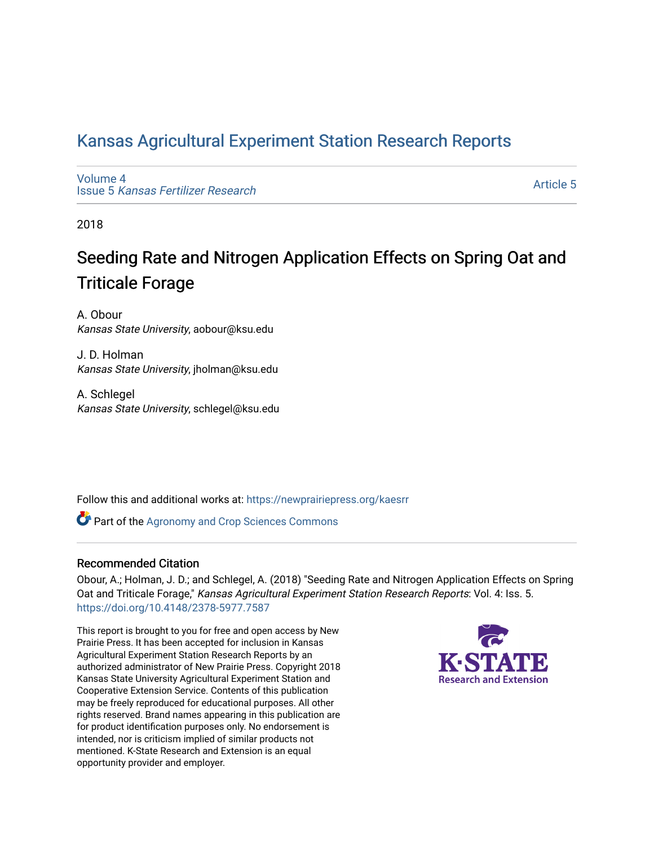## [Kansas Agricultural Experiment Station Research Reports](https://newprairiepress.org/kaesrr)

[Volume 4](https://newprairiepress.org/kaesrr/vol4) Issue 5 [Kansas Fertilizer Research](https://newprairiepress.org/kaesrr/vol4/iss5)

[Article 5](https://newprairiepress.org/kaesrr/vol4/iss5/5) 

2018

# Seeding Rate and Nitrogen Application Effects on Spring Oat and Triticale Forage

A. Obour Kansas State University, aobour@ksu.edu

J. D. Holman Kansas State University, jholman@ksu.edu

A. Schlegel Kansas State University, schlegel@ksu.edu

Follow this and additional works at: [https://newprairiepress.org/kaesrr](https://newprairiepress.org/kaesrr?utm_source=newprairiepress.org%2Fkaesrr%2Fvol4%2Fiss5%2F5&utm_medium=PDF&utm_campaign=PDFCoverPages) 

**Part of the Agronomy and Crop Sciences Commons** 

#### Recommended Citation

Obour, A.; Holman, J. D.; and Schlegel, A. (2018) "Seeding Rate and Nitrogen Application Effects on Spring Oat and Triticale Forage," Kansas Agricultural Experiment Station Research Reports: Vol. 4: Iss. 5. <https://doi.org/10.4148/2378-5977.7587>

This report is brought to you for free and open access by New Prairie Press. It has been accepted for inclusion in Kansas Agricultural Experiment Station Research Reports by an authorized administrator of New Prairie Press. Copyright 2018 Kansas State University Agricultural Experiment Station and Cooperative Extension Service. Contents of this publication may be freely reproduced for educational purposes. All other rights reserved. Brand names appearing in this publication are for product identification purposes only. No endorsement is intended, nor is criticism implied of similar products not mentioned. K-State Research and Extension is an equal opportunity provider and employer.

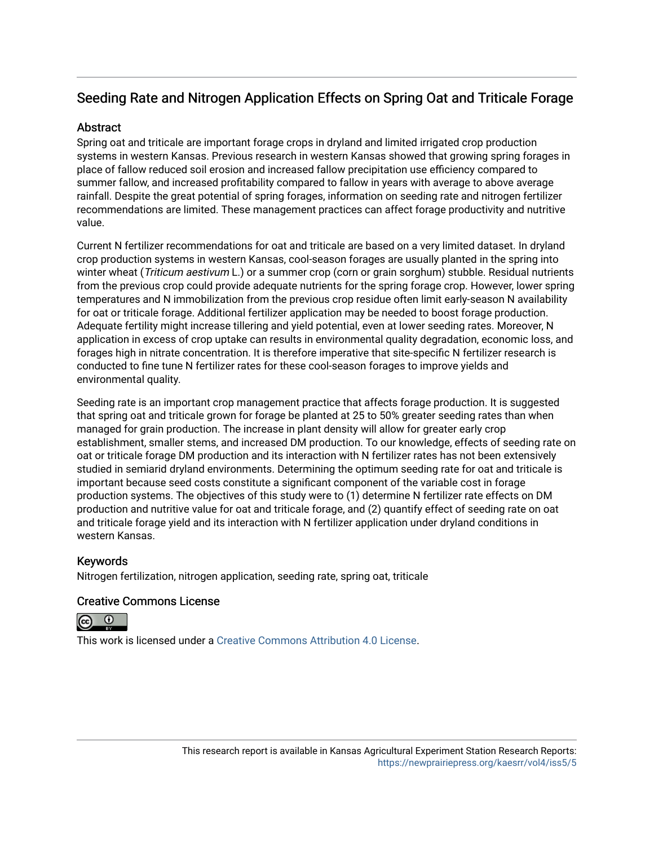## Seeding Rate and Nitrogen Application Effects on Spring Oat and Triticale Forage

### **Abstract**

Spring oat and triticale are important forage crops in dryland and limited irrigated crop production systems in western Kansas. Previous research in western Kansas showed that growing spring forages in place of fallow reduced soil erosion and increased fallow precipitation use efficiency compared to summer fallow, and increased profitability compared to fallow in years with average to above average rainfall. Despite the great potential of spring forages, information on seeding rate and nitrogen fertilizer recommendations are limited. These management practices can affect forage productivity and nutritive value.

Current N fertilizer recommendations for oat and triticale are based on a very limited dataset. In dryland crop production systems in western Kansas, cool-season forages are usually planted in the spring into winter wheat (Triticum aestivum L.) or a summer crop (corn or grain sorghum) stubble. Residual nutrients from the previous crop could provide adequate nutrients for the spring forage crop. However, lower spring temperatures and N immobilization from the previous crop residue often limit early-season N availability for oat or triticale forage. Additional fertilizer application may be needed to boost forage production. Adequate fertility might increase tillering and yield potential, even at lower seeding rates. Moreover, N application in excess of crop uptake can results in environmental quality degradation, economic loss, and forages high in nitrate concentration. It is therefore imperative that site-specific N fertilizer research is conducted to fine tune N fertilizer rates for these cool-season forages to improve yields and environmental quality.

Seeding rate is an important crop management practice that affects forage production. It is suggested that spring oat and triticale grown for forage be planted at 25 to 50% greater seeding rates than when managed for grain production. The increase in plant density will allow for greater early crop establishment, smaller stems, and increased DM production. To our knowledge, effects of seeding rate on oat or triticale forage DM production and its interaction with N fertilizer rates has not been extensively studied in semiarid dryland environments. Determining the optimum seeding rate for oat and triticale is important because seed costs constitute a significant component of the variable cost in forage production systems. The objectives of this study were to (1) determine N fertilizer rate effects on DM production and nutritive value for oat and triticale forage, and (2) quantify effect of seeding rate on oat and triticale forage yield and its interaction with N fertilizer application under dryland conditions in western Kansas.

### Keywords

Nitrogen fertilization, nitrogen application, seeding rate, spring oat, triticale

### Creative Commons License



This work is licensed under a [Creative Commons Attribution 4.0 License](https://creativecommons.org/licenses/by/4.0/).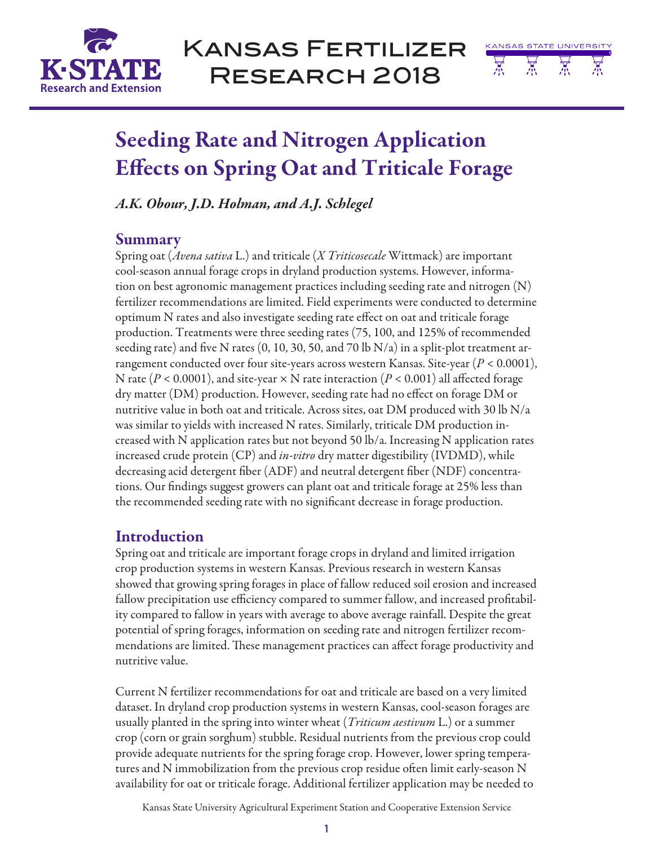

Kansas Fertilizer Research 2018



# Seeding Rate and Nitrogen Application Effects on Spring Oat and Triticale Forage

*A.K. Obour, J.D. Holman, and A.J. Schlegel*

### Summary

Spring oat (*Avena sativa* L.) and triticale (*X Triticosecale* Wittmack) are important cool-season annual forage crops in dryland production systems. However, information on best agronomic management practices including seeding rate and nitrogen (N) fertilizer recommendations are limited. Field experiments were conducted to determine optimum N rates and also investigate seeding rate effect on oat and triticale forage production. Treatments were three seeding rates (75, 100, and 125% of recommended seeding rate) and five N rates  $(0, 10, 30, 50,$  and  $70 \text{ lb N/a})$  in a split-plot treatment arrangement conducted over four site-years across western Kansas. Site-year (*P* < 0.0001), N rate (*P* < 0.0001), and site-year × N rate interaction (*P* < 0.001) all affected forage dry matter (DM) production. However, seeding rate had no effect on forage DM or nutritive value in both oat and triticale. Across sites, oat DM produced with 30 lb  $N/a$ was similar to yields with increased N rates. Similarly, triticale DM production increased with N application rates but not beyond 50 lb/a. Increasing N application rates increased crude protein (CP) and *in-vitro* dry matter digestibility (IVDMD), while decreasing acid detergent fiber (ADF) and neutral detergent fiber (NDF) concentrations. Our findings suggest growers can plant oat and triticale forage at 25% less than the recommended seeding rate with no significant decrease in forage production.

## Introduction

Spring oat and triticale are important forage crops in dryland and limited irrigation crop production systems in western Kansas. Previous research in western Kansas showed that growing spring forages in place of fallow reduced soil erosion and increased fallow precipitation use efficiency compared to summer fallow, and increased profitability compared to fallow in years with average to above average rainfall. Despite the great potential of spring forages, information on seeding rate and nitrogen fertilizer recommendations are limited. These management practices can affect forage productivity and nutritive value.

Current N fertilizer recommendations for oat and triticale are based on a very limited dataset. In dryland crop production systems in western Kansas, cool-season forages are usually planted in the spring into winter wheat (*Triticum aestivum* L.) or a summer crop (corn or grain sorghum) stubble. Residual nutrients from the previous crop could provide adequate nutrients for the spring forage crop. However, lower spring temperatures and N immobilization from the previous crop residue often limit early-season N availability for oat or triticale forage. Additional fertilizer application may be needed to

Kansas State University Agricultural Experiment Station and Cooperative Extension Service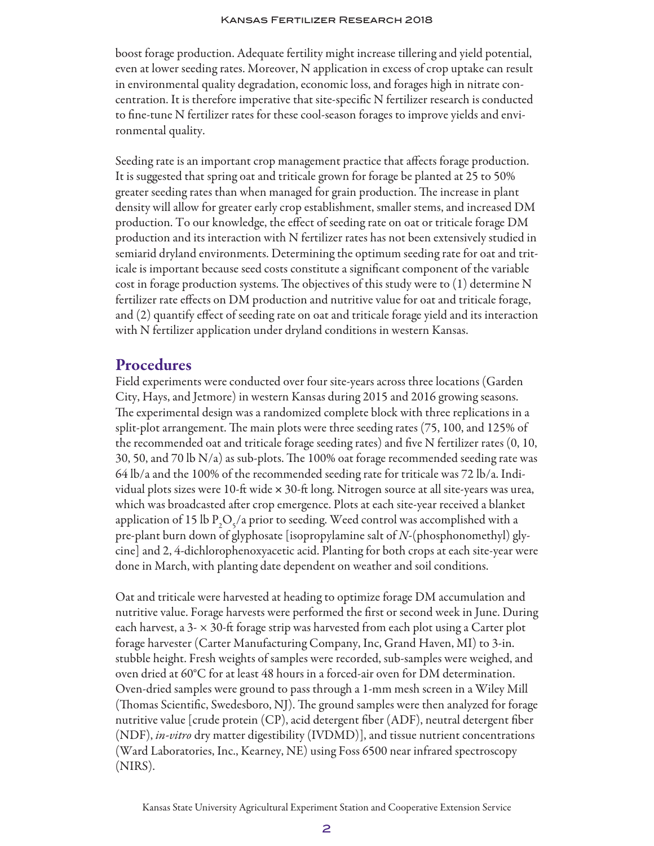boost forage production. Adequate fertility might increase tillering and yield potential, even at lower seeding rates. Moreover, N application in excess of crop uptake can result in environmental quality degradation, economic loss, and forages high in nitrate concentration. It is therefore imperative that site-specific N fertilizer research is conducted to fine-tune N fertilizer rates for these cool-season forages to improve yields and environmental quality.

Seeding rate is an important crop management practice that affects forage production. It is suggested that spring oat and triticale grown for forage be planted at 25 to 50% greater seeding rates than when managed for grain production. The increase in plant density will allow for greater early crop establishment, smaller stems, and increased DM production. To our knowledge, the effect of seeding rate on oat or triticale forage DM production and its interaction with N fertilizer rates has not been extensively studied in semiarid dryland environments. Determining the optimum seeding rate for oat and triticale is important because seed costs constitute a significant component of the variable cost in forage production systems. The objectives of this study were to (1) determine N fertilizer rate effects on DM production and nutritive value for oat and triticale forage, and (2) quantify effect of seeding rate on oat and triticale forage yield and its interaction with N fertilizer application under dryland conditions in western Kansas.

### Procedures

Field experiments were conducted over four site-years across three locations (Garden City, Hays, and Jetmore) in western Kansas during 2015 and 2016 growing seasons. The experimental design was a randomized complete block with three replications in a split-plot arrangement. The main plots were three seeding rates (75, 100, and 125% of the recommended oat and triticale forage seeding rates) and five N fertilizer rates (0, 10, 30, 50, and 70 lb N/a) as sub-plots. The 100% oat forage recommended seeding rate was 64 lb/a and the 100% of the recommended seeding rate for triticale was 72 lb/a. Individual plots sizes were 10-ft wide × 30-ft long. Nitrogen source at all site-years was urea, which was broadcasted after crop emergence. Plots at each site-year received a blanket application of 15 lb  $P_2O_5/a$  prior to seeding. Weed control was accomplished with a pre-plant burn down of glyphosate [isopropylamine salt of *N-*(phosphonomethyl) glycine] and 2, 4-dichlorophenoxyacetic acid. Planting for both crops at each site-year were done in March, with planting date dependent on weather and soil conditions.

Oat and triticale were harvested at heading to optimize forage DM accumulation and nutritive value. Forage harvests were performed the first or second week in June. During each harvest, a 3- × 30-ft forage strip was harvested from each plot using a Carter plot forage harvester (Carter Manufacturing Company, Inc, Grand Haven, MI) to 3-in. stubble height. Fresh weights of samples were recorded, sub-samples were weighed, and oven dried at 60°C for at least 48 hours in a forced-air oven for DM determination. Oven-dried samples were ground to pass through a 1-mm mesh screen in a Wiley Mill (Thomas Scientific, Swedesboro, NJ). The ground samples were then analyzed for forage nutritive value [crude protein (CP), acid detergent fiber (ADF), neutral detergent fiber (NDF), *in-vitro* dry matter digestibility (IVDMD)], and tissue nutrient concentrations (Ward Laboratories, Inc., Kearney, NE) using Foss 6500 near infrared spectroscopy (NIRS).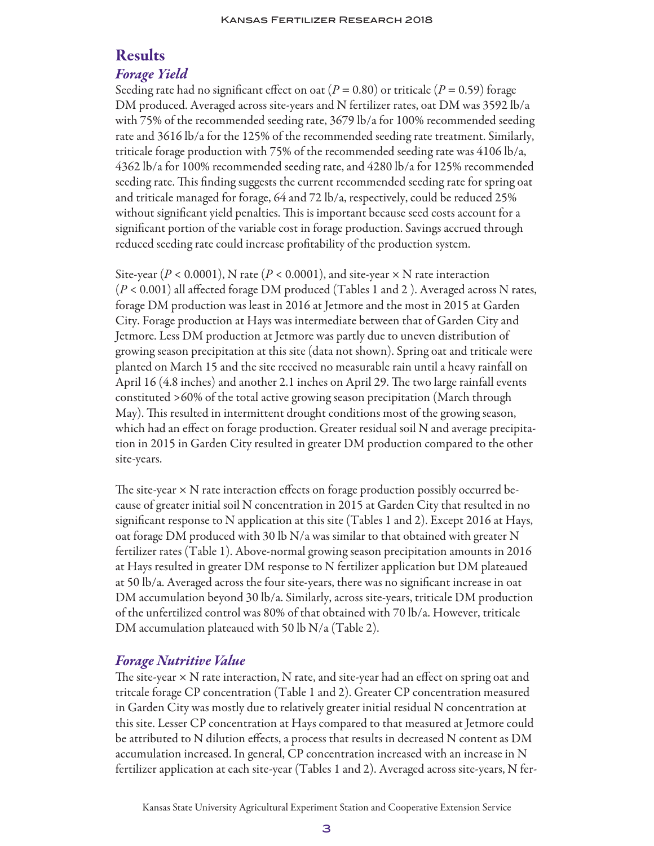## Results

### *Forage Yield*

Seeding rate had no significant effect on oat ( $P = 0.80$ ) or triticale ( $P = 0.59$ ) forage DM produced. Averaged across site-years and N fertilizer rates, oat DM was 3592 lb/a with 75% of the recommended seeding rate, 3679 lb/a for 100% recommended seeding rate and 3616 lb/a for the 125% of the recommended seeding rate treatment. Similarly, triticale forage production with 75% of the recommended seeding rate was 4106 lb/a, 4362 lb/a for 100% recommended seeding rate, and 4280 lb/a for 125% recommended seeding rate. This finding suggests the current recommended seeding rate for spring oat and triticale managed for forage, 64 and 72 lb/a, respectively, could be reduced 25% without significant yield penalties. This is important because seed costs account for a significant portion of the variable cost in forage production. Savings accrued through reduced seeding rate could increase profitability of the production system.

Site-year ( $P < 0.0001$ ), N rate ( $P < 0.0001$ ), and site-year  $\times$  N rate interaction (*P* < 0.001) all affected forage DM produced (Tables 1 and 2 ). Averaged across N rates, forage DM production was least in 2016 at Jetmore and the most in 2015 at Garden City. Forage production at Hays was intermediate between that of Garden City and Jetmore. Less DM production at Jetmore was partly due to uneven distribution of growing season precipitation at this site (data not shown). Spring oat and triticale were planted on March 15 and the site received no measurable rain until a heavy rainfall on April 16 (4.8 inches) and another 2.1 inches on April 29. The two large rainfall events constituted >60% of the total active growing season precipitation (March through May). This resulted in intermittent drought conditions most of the growing season, which had an effect on forage production. Greater residual soil N and average precipitation in 2015 in Garden City resulted in greater DM production compared to the other site-years.

The site-year  $\times$  N rate interaction effects on forage production possibly occurred because of greater initial soil N concentration in 2015 at Garden City that resulted in no significant response to N application at this site (Tables 1 and 2). Except 2016 at Hays, oat forage DM produced with 30 lb N/a was similar to that obtained with greater N fertilizer rates (Table 1). Above-normal growing season precipitation amounts in 2016 at Hays resulted in greater DM response to N fertilizer application but DM plateaued at 50 lb/a. Averaged across the four site-years, there was no significant increase in oat DM accumulation beyond 30 lb/a. Similarly, across site-years, triticale DM production of the unfertilized control was 80% of that obtained with 70 lb/a. However, triticale DM accumulation plateaued with 50 lb N/a (Table 2).

### *Forage Nutritive Value*

The site-year  $\times$  N rate interaction, N rate, and site-year had an effect on spring oat and tritcale forage CP concentration (Table 1 and 2). Greater CP concentration measured in Garden City was mostly due to relatively greater initial residual N concentration at this site. Lesser CP concentration at Hays compared to that measured at Jetmore could be attributed to N dilution effects, a process that results in decreased N content as DM accumulation increased. In general, CP concentration increased with an increase in N fertilizer application at each site-year (Tables 1 and 2). Averaged across site-years, N fer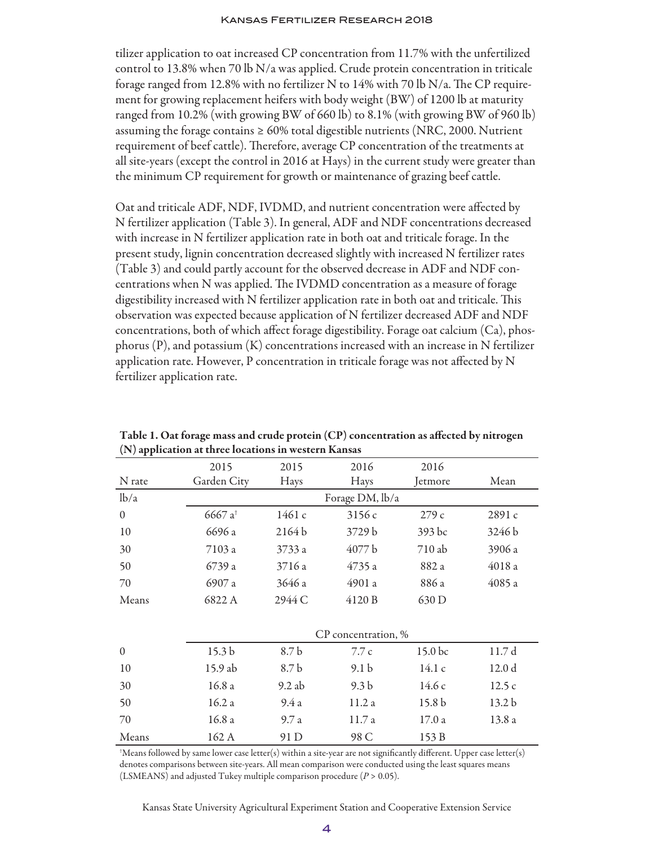tilizer application to oat increased CP concentration from 11.7% with the unfertilized control to 13.8% when 70 lb  $N/a$  was applied. Crude protein concentration in triticale forage ranged from 12.8% with no fertilizer N to 14% with 70 lb N/a. The CP requirement for growing replacement heifers with body weight (BW) of 1200 lb at maturity ranged from 10.2% (with growing BW of 660 lb) to 8.1% (with growing BW of 960 lb) assuming the forage contains  $\geq 60\%$  total digestible nutrients (NRC, 2000. Nutrient requirement of beef cattle). Therefore, average CP concentration of the treatments at all site-years (except the control in 2016 at Hays) in the current study were greater than the minimum CP requirement for growth or maintenance of grazing beef cattle.

Oat and triticale ADF, NDF, IVDMD, and nutrient concentration were affected by N fertilizer application (Table 3). In general, ADF and NDF concentrations decreased with increase in N fertilizer application rate in both oat and triticale forage. In the present study, lignin concentration decreased slightly with increased N fertilizer rates (Table 3) and could partly account for the observed decrease in ADF and NDF concentrations when N was applied. The IVDMD concentration as a measure of forage digestibility increased with N fertilizer application rate in both oat and triticale. This observation was expected because application of N fertilizer decreased ADF and NDF concentrations, both of which affect forage digestibility. Forage oat calcium (Ca), phosphorus (P), and potassium (K) concentrations increased with an increase in N fertilizer application rate. However, P concentration in triticale forage was not affected by N fertilizer application rate.

| $\mathbf{r}$ , $\mathbf{r}$ |                     |          |                  |                   |                   |  |  |  |
|-----------------------------|---------------------|----------|------------------|-------------------|-------------------|--|--|--|
|                             | 2015                | 2015     | 2016             | 2016              |                   |  |  |  |
| N rate                      | Garden City         | Hays     | Hays             | Jetmore           | Mean              |  |  |  |
| lb/a                        | Forage DM, lb/a     |          |                  |                   |                   |  |  |  |
| $\theta$                    | 6667 a <sup>+</sup> | 1461c    | 3156c            | 279c              | 2891 c            |  |  |  |
| 10                          | 6696 a              | 2164b    | 3729 b           | 393 bc            | 3246 b            |  |  |  |
| 30                          | 7103 a              | 3733 a   | 4077 b           | 710 ab            | 3906 a            |  |  |  |
| 50                          | 6739 a              | 3716 a   | 4735 a           | 882 a             | 4018 a            |  |  |  |
| 70                          | 6907 a              | 3646 a   | 4901 a           | 886 a             | 4085 a            |  |  |  |
| Means                       | 6822 A              | 2944 C   | 4120 B           | 630 D             |                   |  |  |  |
|                             |                     |          |                  |                   |                   |  |  |  |
|                             | CP concentration, % |          |                  |                   |                   |  |  |  |
| $\theta$                    | 15.3 <sub>b</sub>   | 8.7 b    | 7.7c             | 15.0 bc           | 11.7 d            |  |  |  |
| 10                          | 15.9 ab             | 8.7 b    | 9.1 <sub>b</sub> | 14.1c             | 12.0 d            |  |  |  |
| 30                          | 16.8a               | $9.2$ ab | 9.3 <sub>b</sub> | 14.6c             | 12.5c             |  |  |  |
| 50                          | 16.2a               | 9.4a     | 11.2a            | 15.8 <sub>b</sub> | 13.2 <sub>b</sub> |  |  |  |
| 70                          | 16.8a               | 9.7a     | 11.7 a           | 17.0a             | 13.8 a            |  |  |  |
| Means                       | 162 A               | 91 D     | 98 C             | 153 B             |                   |  |  |  |

Table 1. Oat forage mass and crude protein (CP) concentration as affected by nitrogen (N) application at three locations in western Kansas

† Means followed by same lower case letter(s) within a site-year are not significantly different. Upper case letter(s) denotes comparisons between site-years. All mean comparison were conducted using the least squares means (LSMEANS) and adjusted Tukey multiple comparison procedure (*P* > 0.05).

Kansas State University Agricultural Experiment Station and Cooperative Extension Service